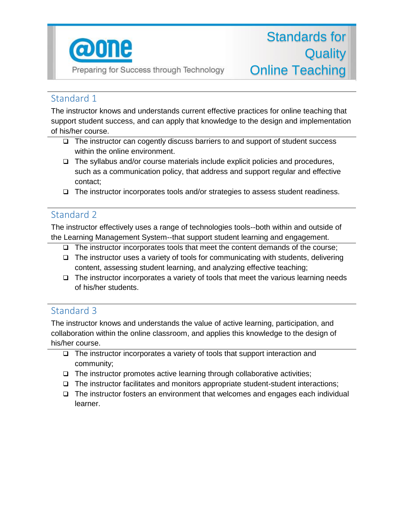

# Standard 1

The instructor knows and understands current effective practices for online teaching that support student success, and can apply that knowledge to the design and implementation of his/her course.

- $\Box$  The instructor can cogently discuss barriers to and support of student success within the online environment.
- $\Box$  The syllabus and/or course materials include explicit policies and procedures, such as a communication policy, that address and support regular and effective contact;
- $\Box$  The instructor incorporates tools and/or strategies to assess student readiness.

#### Standard 2

The instructor effectively uses a range of technologies tools--both within and outside of the Learning Management System--that support student learning and engagement.

- $\Box$  The instructor incorporates tools that meet the content demands of the course;
- $\Box$  The instructor uses a variety of tools for communicating with students, delivering content, assessing student learning, and analyzing effective teaching;
- $\Box$  The instructor incorporates a variety of tools that meet the various learning needs of his/her students.

#### Standard 3

The instructor knows and understands the value of active learning, participation, and collaboration within the online classroom, and applies this knowledge to the design of his/her course.

- $\Box$  The instructor incorporates a variety of tools that support interaction and community;
- $\Box$  The instructor promotes active learning through collaborative activities;
- $\Box$  The instructor facilitates and monitors appropriate student-student interactions;
- $\Box$  The instructor fosters an environment that welcomes and engages each individual learner.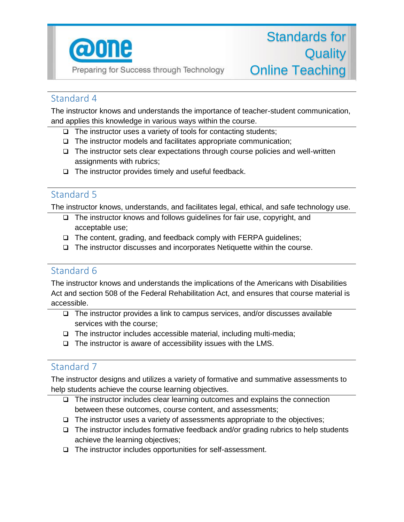

#### Standard 4

The instructor knows and understands the importance of teacher-student communication, and applies this knowledge in various ways within the course.

- $\Box$  The instructor uses a variety of tools for contacting students;
- $\Box$  The instructor models and facilitates appropriate communication;
- $\Box$  The instructor sets clear expectations through course policies and well-written assignments with rubrics;
- $\Box$  The instructor provides timely and useful feedback.

#### Standard 5

The instructor knows, understands, and facilitates legal, ethical, and safe technology use.

- $\Box$  The instructor knows and follows guidelines for fair use, copyright, and acceptable use;
- $\Box$  The content, grading, and feedback comply with FERPA guidelines;
- The instructor discusses and incorporates Netiquette within the course.

## Standard 6

The instructor knows and understands the implications of the Americans with Disabilities Act and section 508 of the Federal Rehabilitation Act, and ensures that course material is accessible.

- $\Box$  The instructor provides a link to campus services, and/or discusses available services with the course;
- $\Box$  The instructor includes accessible material, including multi-media;
- $\Box$  The instructor is aware of accessibility issues with the LMS.

## Standard 7

The instructor designs and utilizes a variety of formative and summative assessments to help students achieve the course learning objectives.

- $\Box$  The instructor includes clear learning outcomes and explains the connection between these outcomes, course content, and assessments;
- $\Box$  The instructor uses a variety of assessments appropriate to the objectives;
- $\Box$  The instructor includes formative feedback and/or grading rubrics to help students achieve the learning objectives;
- $\Box$  The instructor includes opportunities for self-assessment.